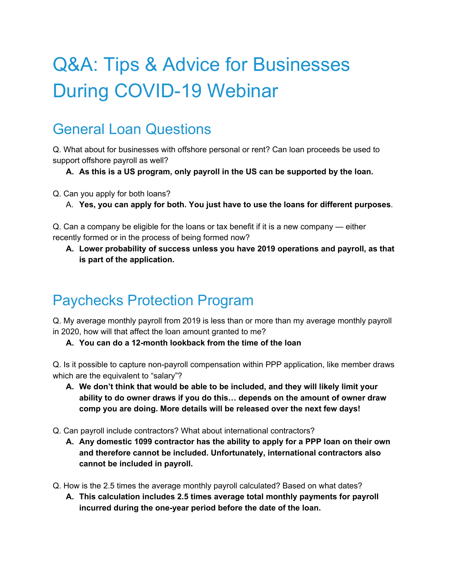# Q&A: Tips & Advice for Businesses During COVID-19 Webinar

### General Loan Questions

Q. What about for businesses with offshore personal or rent? Can loan proceeds be used to support offshore payroll as well?

**A. As this is a US program, only payroll in the US can be supported by the loan.**

Q. Can you apply for both loans?

A. **Yes, you can apply for both. You just have to use the loans for different purposes**.

Q. Can a company be eligible for the loans or tax benefit if it is a new company — either recently formed or in the process of being formed now?

**A. Lower probability of success unless you have 2019 operations and payroll, as that is part of the application.**

### Paychecks Protection Program

Q. My average monthly payroll from 2019 is less than or more than my average monthly payroll in 2020, how will that affect the loan amount granted to me?

**A. You can do a 12-month lookback from the time of the loan**

Q. Is it possible to capture non-payroll compensation within PPP application, like member draws which are the equivalent to "salary"?

**A. We don't think that would be able to be included, and they will likely limit your ability to do owner draws if you do this… depends on the amount of owner draw comp you are doing. More details will be released over the next few days!**

Q. Can payroll include contractors? What about international contractors?

- **A. Any domestic 1099 contractor has the ability to apply for a PPP loan on their own and therefore cannot be included. Unfortunately, international contractors also cannot be included in payroll.**
- Q. How is the 2.5 times the average monthly payroll calculated? Based on what dates?
	- **A. This calculation includes 2.5 times average total monthly payments for payroll incurred during the one-year period before the date of the loan.**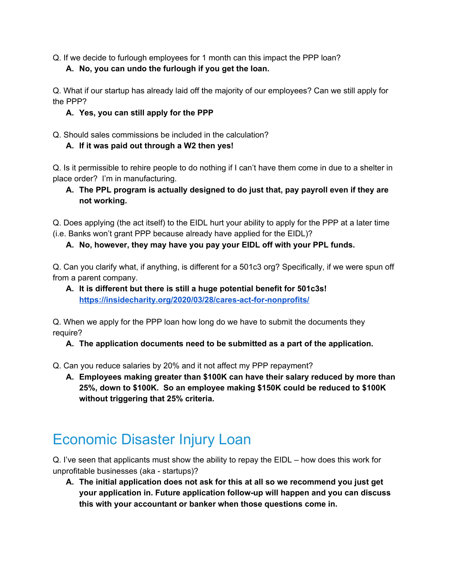Q. If we decide to furlough employees for 1 month can this impact the PPP loan?

**A. No, you can undo the furlough if you get the loan.**

Q. What if our startup has already laid off the majority of our employees? Can we still apply for the PPP?

#### **A. Yes, you can still apply for the PPP**

Q. Should sales commissions be included in the calculation?

#### **A. If it was paid out through a W2 then yes!**

Q. Is it permissible to rehire people to do nothing if I can't have them come in due to a shelter in place order? I'm in manufacturing.

**A. The PPL program is actually designed to do just that, pay payroll even if they are not working.**

Q. Does applying (the act itself) to the EIDL hurt your ability to apply for the PPP at a later time (i.e. Banks won't grant PPP because already have applied for the EIDL)?

#### **A. No, however, they may have you pay your EIDL off with your PPL funds.**

Q. Can you clarify what, if anything, is different for a 501c3 org? Specifically, if we were spun off from a parent company.

**A. It is different but there is still a huge potential benefit for 501c3s! <https://insidecharity.org/2020/03/28/cares-act-for-nonprofits/>**

Q. When we apply for the PPP loan how long do we have to submit the documents they require?

**A. The application documents need to be submitted as a part of the application.**

Q. Can you reduce salaries by 20% and it not affect my PPP repayment?

**A. Employees making greater than \$100K can have their salary reduced by more than 25%, down to \$100K. So an employee making \$150K could be reduced to \$100K without triggering that 25% criteria.**

## Economic Disaster Injury Loan

Q. I've seen that applicants must show the ability to repay the EIDL – how does this work for unprofitable businesses (aka - startups)?

**A. The initial application does not ask for this at all so we recommend you just get your application in. Future application follow-up will happen and you can discuss this with your accountant or banker when those questions come in.**